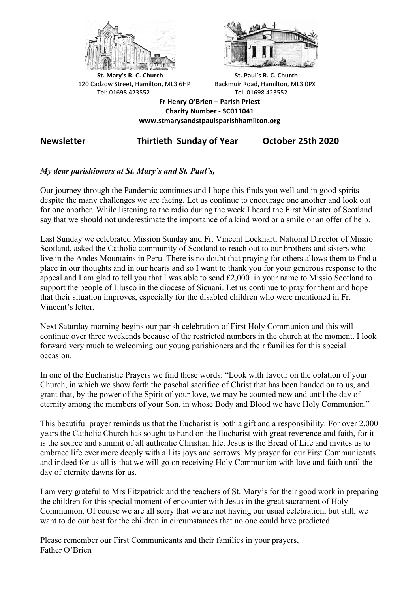



**St.** Mary's R. C. Church St. Paul's R. C. Church 120 Cadzow Street, Hamilton, ML3 6HP Backmuir Road, Hamilton, ML3 0PX Tel: 01698 423552 Tel: 01698 423552

**Fr Henry O'Brien – Parish Priest Charity Number - SC011041 www.stmarysandstpaulsparishhamilton.org**

# **Newsletter Thirtieth Sunday of Year October 25th 2020**

# *My dear parishioners at St. Mary's and St. Paul's,*

Our journey through the Pandemic continues and I hope this finds you well and in good spirits despite the many challenges we are facing. Let us continue to encourage one another and look out for one another. While listening to the radio during the week I heard the First Minister of Scotland say that we should not underestimate the importance of a kind word or a smile or an offer of help.

Last Sunday we celebrated Mission Sunday and Fr. Vincent Lockhart, National Director of Missio Scotland, asked the Catholic community of Scotland to reach out to our brothers and sisters who live in the Andes Mountains in Peru. There is no doubt that praying for others allows them to find a place in our thoughts and in our hearts and so I want to thank you for your generous response to the appeal and I am glad to tell you that I was able to send £2,000 in your name to Missio Scotland to support the people of Llusco in the diocese of Sicuani. Let us continue to pray for them and hope that their situation improves, especially for the disabled children who were mentioned in Fr. Vincent's letter.

Next Saturday morning begins our parish celebration of First Holy Communion and this will continue over three weekends because of the restricted numbers in the church at the moment. I look forward very much to welcoming our young parishioners and their families for this special occasion.

In one of the Eucharistic Prayers we find these words: "Look with favour on the oblation of your Church, in which we show forth the paschal sacrifice of Christ that has been handed on to us, and grant that, by the power of the Spirit of your love, we may be counted now and until the day of eternity among the members of your Son, in whose Body and Blood we have Holy Communion."

This beautiful prayer reminds us that the Eucharist is both a gift and a responsibility. For over 2,000 years the Catholic Church has sought to hand on the Eucharist with great reverence and faith, for it is the source and summit of all authentic Christian life. Jesus is the Bread of Life and invites us to embrace life ever more deeply with all its joys and sorrows. My prayer for our First Communicants and indeed for us all is that we will go on receiving Holy Communion with love and faith until the day of eternity dawns for us.

I am very grateful to Mrs Fitzpatrick and the teachers of St. Mary's for their good work in preparing the children for this special moment of encounter with Jesus in the great sacrament of Holy Communion. Of course we are all sorry that we are not having our usual celebration, but still, we want to do our best for the children in circumstances that no one could have predicted.

Please remember our First Communicants and their families in your prayers, Father O'Brien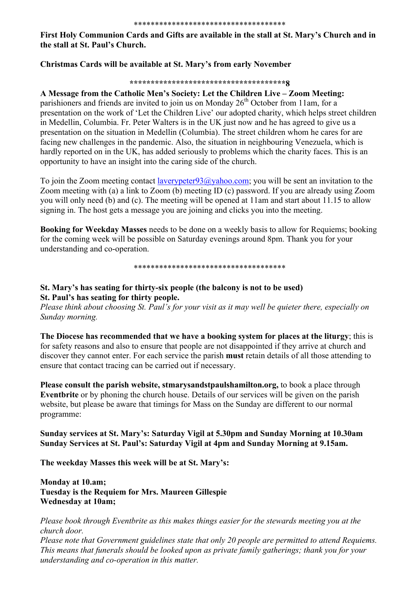#### \*\*\*\*\*\*\*\*\*\*\*\*\*\*\*\*\*\*\*\*\*\*\*\*\*\*\*\*\*\*\*\*\*\*\*\*

**First Holy Communion Cards and Gifts are available in the stall at St. Mary's Church and in the stall at St. Paul's Church.**

## **Christmas Cards will be available at St. Mary's from early November**

#### **\*\*\*\*\*\*\*\*\*\*\*\*\*\*\*\*\*\*\*\*\*\*\*\*\*\*\*\*\*\*\*\*\*\*\*\*\*8**

### **A Message from the Catholic Men's Society: Let the Children Live – Zoom Meeting:**

parishioners and friends are invited to join us on Monday  $26<sup>th</sup>$  October from 11am, for a presentation on the work of 'Let the Children Live' our adopted charity, which helps street children in Medellin, Columbia. Fr. Peter Walters is in the UK just now and he has agreed to give us a presentation on the situation in Medellin (Columbia). The street children whom he cares for are facing new challenges in the pandemic. Also, the situation in neighbouring Venezuela, which is hardly reported on in the UK, has added seriously to problems which the charity faces. This is an opportunity to have an insight into the caring side of the church.

To join the Zoom meeting contact laverypeter93@yahoo.com; you will be sent an invitation to the Zoom meeting with (a) a link to Zoom (b) meeting ID (c) password. If you are already using Zoom you will only need (b) and (c). The meeting will be opened at 11am and start about 11.15 to allow signing in. The host gets a message you are joining and clicks you into the meeting.

**Booking for Weekday Masses** needs to be done on a weekly basis to allow for Requiems; booking for the coming week will be possible on Saturday evenings around 8pm. Thank you for your understanding and co-operation.

\*\*\*\*\*\*\*\*\*\*\*\*\*\*\*\*\*\*\*\*\*\*\*\*\*\*\*\*\*\*\*\*\*\*\*\*

## **St. Mary's has seating for thirty-six people (the balcony is not to be used) St. Paul's has seating for thirty people.**

*Please think about choosing St. Paul's for your visit as it may well be quieter there, especially on Sunday morning.*

**The Diocese has recommended that we have a booking system for places at the liturgy**; this is for safety reasons and also to ensure that people are not disappointed if they arrive at church and discover they cannot enter. For each service the parish **must** retain details of all those attending to ensure that contact tracing can be carried out if necessary.

**Please consult the parish website, stmarysandstpaulshamilton.org,** to book a place through **Eventbrite** or by phoning the church house. Details of our services will be given on the parish website, but please be aware that timings for Mass on the Sunday are different to our normal programme:

**Sunday services at St. Mary's: Saturday Vigil at 5.30pm and Sunday Morning at 10.30am Sunday Services at St. Paul's: Saturday Vigil at 4pm and Sunday Morning at 9.15am.**

**The weekday Masses this week will be at St. Mary's:**

**Monday at 10.am; Tuesday is the Requiem for Mrs. Maureen Gillespie Wednesday at 10am;** 

*Please book through Eventbrite as this makes things easier for the stewards meeting you at the church door.*

*Please note that Government guidelines state that only 20 people are permitted to attend Requiems. This means that funerals should be looked upon as private family gatherings; thank you for your understanding and co-operation in this matter.*